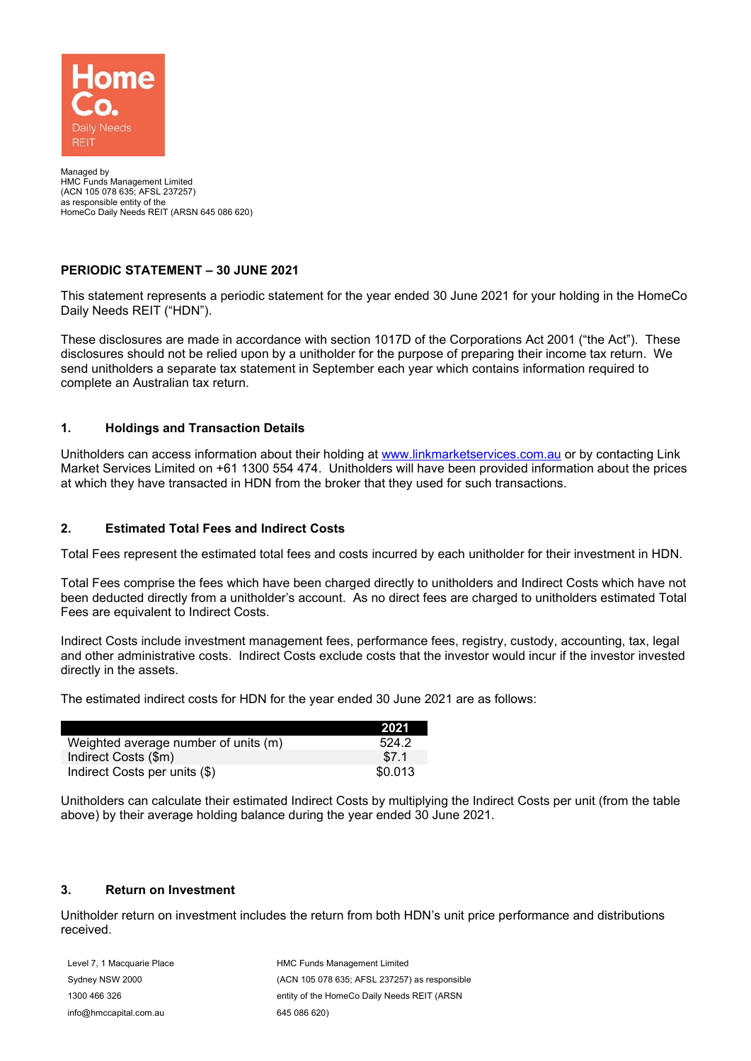

Managed by HMC Funds Management Limited (ACN 105 078 635; AFSL 237257) as responsible entity of the HomeCo Daily Needs REIT (ARSN 645 086 620)

# **PERIODIC STATEMENT – 30 JUNE 2021**

This statement represents a periodic statement for the year ended 30 June 2021 for your holding in the HomeCo Daily Needs REIT ("HDN").

These disclosures are made in accordance with section 1017D of the Corporations Act 2001 ("the Act"). These disclosures should not be relied upon by a unitholder for the purpose of preparing their income tax return. We send unitholders a separate tax statement in September each year which contains information required to complete an Australian tax return.

# **1. Holdings and Transaction Details**

Unitholders can access information about their holding at [www.linkmarketservices.com.au](http://www.linkmarketservices.com.au/) or by contacting Link Market Services Limited on +61 1300 554 474. Unitholders will have been provided information about the prices at which they have transacted in HDN from the broker that they used for such transactions.

#### **2. Estimated Total Fees and Indirect Costs**

Total Fees represent the estimated total fees and costs incurred by each unitholder for their investment in HDN.

Total Fees comprise the fees which have been charged directly to unitholders and Indirect Costs which have not been deducted directly from a unitholder's account. As no direct fees are charged to unitholders estimated Total Fees are equivalent to Indirect Costs.

Indirect Costs include investment management fees, performance fees, registry, custody, accounting, tax, legal and other administrative costs. Indirect Costs exclude costs that the investor would incur if the investor invested directly in the assets.

The estimated indirect costs for HDN for the year ended 30 June 2021 are as follows:

|                                      | 2021    |
|--------------------------------------|---------|
| Weighted average number of units (m) | 524.2   |
| Indirect Costs (\$m)                 | \$7.1   |
| Indirect Costs per units (\$)        | \$0.013 |

Unitholders can calculate their estimated Indirect Costs by multiplying the Indirect Costs per unit (from the table above) by their average holding balance during the year ended 30 June 2021.

### **3. Return on Investment**

Unitholder return on investment includes the return from both HDN's unit price performance and distributions received.

Level 7, 1 Macquarie Place Sydney NSW 2000 1300 466 326 info@hmccapital.com.au

HMC Funds Management Limited (ACN 105 078 635; AFSL 237257) as responsible entity of the HomeCo Daily Needs REIT (ARSN 645 086 620)